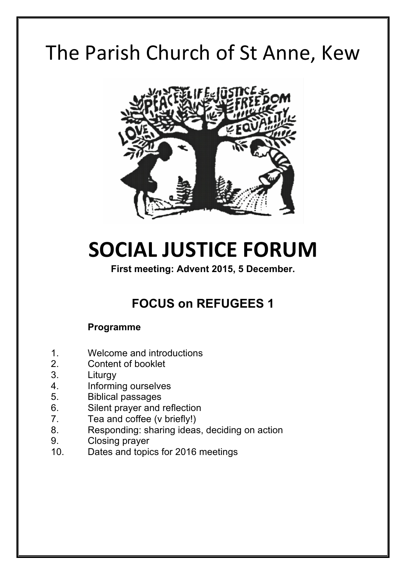# The Parish Church of St Anne, Kew



# **SOCIAL JUSTICE FORUM**

**First meeting: Advent 2015, 5 December.**

# **FOCUS on REFUGEES 1**

#### **Programme**

- 1. Welcome and introductions
- 2. Content of booklet
- 3. Liturgy
- 4. Informing ourselves
- 5. Biblical passages
- 6. Silent prayer and reflection
- 7. Tea and coffee (v briefly!)
- 8. Responding: sharing ideas, deciding on action
- 9. Closing prayer
- 10. Dates and topics for 2016 meetings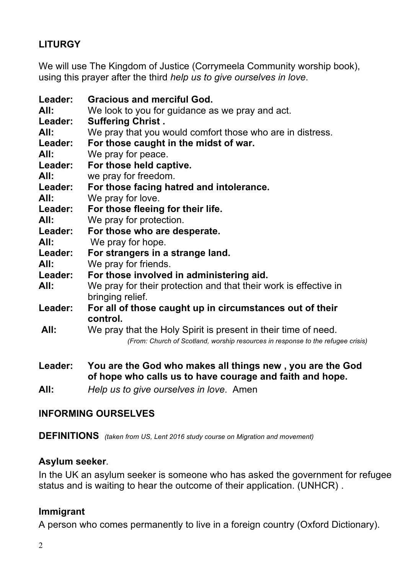# **LITURGY**

We will use The Kingdom of Justice (Corrymeela Community worship book), using this prayer after the third *help us to give ourselves in love*.

| Leader:<br>All:<br>Leader: | <b>Gracious and merciful God.</b><br>We look to you for guidance as we pray and act.<br><b>Suffering Christ.</b> |
|----------------------------|------------------------------------------------------------------------------------------------------------------|
| All:                       | We pray that you would comfort those who are in distress.                                                        |
| Leader:                    | For those caught in the midst of war.                                                                            |
| All:                       | We pray for peace.                                                                                               |
| Leader:                    | For those held captive.                                                                                          |
| All:                       | we pray for freedom.                                                                                             |
| Leader:                    | For those facing hatred and intolerance.                                                                         |
| All:                       | We pray for love.                                                                                                |
| Leader:                    | For those fleeing for their life.                                                                                |
| All:                       | We pray for protection.                                                                                          |
| Leader:                    | For those who are desperate.                                                                                     |
| All:                       | We pray for hope.                                                                                                |
| <b>Leader:</b>             | For strangers in a strange land.                                                                                 |
| All:                       | We pray for friends.                                                                                             |
| Leader:                    | For those involved in administering aid.                                                                         |
| All:                       | We pray for their protection and that their work is effective in<br>bringing relief.                             |
| Leader:                    | For all of those caught up in circumstances out of their<br>control.                                             |
| All:                       | We pray that the Holy Spirit is present in their time of need.                                                   |
|                            | (From: Church of Scotland, worship resources in response to the refugee crisis)                                  |
| Leader:                    | You are the God who makes all things new, you are the God                                                        |

**of hope who calls us to have courage and faith and hope.**

**All:** *Help us to give ourselves in love*. Amen

#### **INFORMING OURSELVES**

**DEFINITIONS** *(taken from US, Lent 2016 study course on Migration and movement)*

#### **Asylum seeker***.*

In the UK an asylum seeker is someone who has asked the government for refugee status and is waiting to hear the outcome of their application. (UNHCR) .

#### **Immigrant**

A person who comes permanently to live in a foreign country (Oxford Dictionary).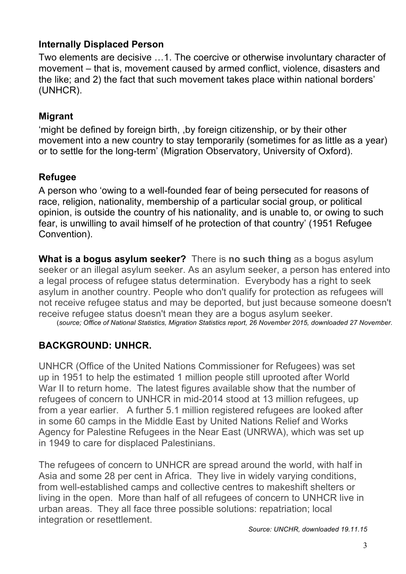# **Internally Displaced Person**

Two elements are decisive …1. The coercive or otherwise involuntary character of movement – that is, movement caused by armed conflict, violence, disasters and the like; and 2) the fact that such movement takes place within national borders' (UNHCR).

# **Migrant**

'might be defined by foreign birth, ,by foreign citizenship, or by their other movement into a new country to stay temporarily (sometimes for as little as a year) or to settle for the long-term' (Migration Observatory, University of Oxford).

# **Refugee**

A person who 'owing to a well-founded fear of being persecuted for reasons of race, religion, nationality, membership of a particular social group, or political opinion, is outside the country of his nationality, and is unable to, or owing to such fear, is unwilling to avail himself of he protection of that country' (1951 Refugee Convention).

**What is a bogus asylum seeker?** There is **no such thing** as a bogus asylum seeker or an illegal asylum seeker. As an asylum seeker, a person has entered into a legal process of refugee status determination. Everybody has a right to seek asylum in another country. People who don't qualify for protection as refugees will not receive refugee status and may be deported, but just because someone doesn't receive refugee status doesn't mean they are a bogus asylum seeker.

(*source; Office of National Statistics, Migration Statistics report, 26 November 2015, downloaded 27 November.* 

# **BACKGROUND: UNHCR.**

UNHCR (Office of the United Nations Commissioner for Refugees) was set up in 1951 to help the estimated 1 million people still uprooted after World War II to return home. The latest figures available show that the number of refugees of concern to UNHCR in mid-2014 stood at 13 million refugees, up from a year earlier. A further 5.1 million registered refugees are looked after in some 60 camps in the Middle East by United Nations Relief and Works Agency for Palestine Refugees in the Near East (UNRWA), which was set up in 1949 to care for displaced Palestinians.

The refugees of concern to UNHCR are spread around the world, with half in Asia and some 28 per cent in Africa. They live in widely varying conditions, from well-established camps and collective centres to makeshift shelters or living in the open. More than half of all refugees of concern to UNHCR live in urban areas. They all face three possible solutions: repatriation; local integration or resettlement.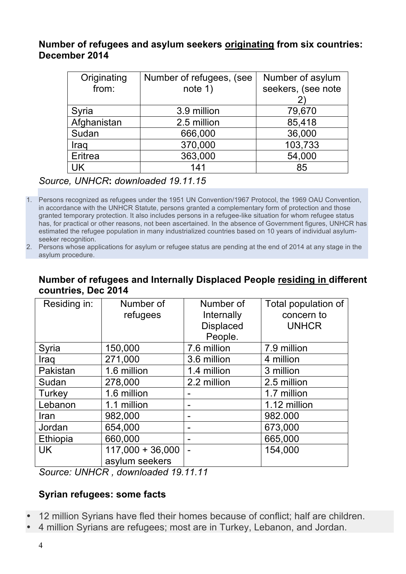#### **Number of refugees and asylum seekers originating from six countries: December 2014**

| Originating | Number of refugees, (see        | Number of asylum |  |
|-------------|---------------------------------|------------------|--|
| from:       | seekers, (see note<br>note $1)$ |                  |  |
|             |                                 |                  |  |
| Syria       | 3.9 million                     | 79,670           |  |
| Afghanistan | 2.5 million                     | 85,418           |  |
| Sudan       | 666,000                         | 36,000           |  |
| Iraq        | 370,000                         | 103,733          |  |
| Eritrea     | 363,000                         | 54,000           |  |
| UK          | 141                             | 85               |  |

*Source, UNHCR***:** *downloaded 19.11.15*

1. Persons recognized as refugees under the 1951 UN Convention/1967 Protocol, the 1969 OAU Convention, in accordance with the UNHCR Statute, persons granted a complementary form of protection and those granted temporary protection. It also includes persons in a refugee-like situation for whom refugee status has, for practical or other reasons, not been ascertained. In the absence of Government figures, UNHCR has estimated the refugee population in many industrialized countries based on 10 years of individual asylumseeker recognition.

# **Number of refugees and Internally Displaced People residing in different countries, Dec 2014**

| Residing in: | Number of          | Number of                | Total population of |
|--------------|--------------------|--------------------------|---------------------|
|              | refugees           | Internally               | concern to          |
|              |                    | <b>Displaced</b>         | <b>UNHCR</b>        |
|              |                    | People.                  |                     |
| Syria        | 150,000            | 7.6 million              | 7.9 million         |
| Iraq         | 271,000            | 3.6 million              | 4 million           |
| Pakistan     | 1.6 million        | 1.4 million              | 3 million           |
| Sudan        | 278,000            | 2.2 million              | 2.5 million         |
| Turkey       | 1.6 million        |                          | 1.7 million         |
| Lebanon      | 1.1 million        |                          | 1.12 million        |
| Iran         | 982,000            | -                        | 982.000             |
| Jordan       | 654,000            |                          | 673,000             |
| Ethiopia     | 660,000            | $\blacksquare$           | 665,000             |
| <b>UK</b>    | $117,000 + 36,000$ | $\overline{\phantom{0}}$ | 154,000             |
|              | asylum seekers     |                          |                     |

*Source: UNHCR , downloaded 19.11.11*

# **Syrian refugees: some facts**

- 12 million Syrians have fled their homes because of conflict; half are children.
- 4 million Syrians are refugees; most are in Turkey, Lebanon, and Jordan.

<sup>2.</sup> Persons whose applications for asylum or refugee status are pending at the end of 2014 at any stage in the asylum procedure.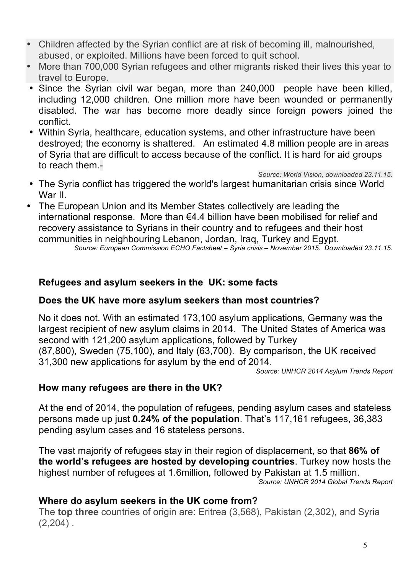- Children affected by the Syrian conflict are at risk of becoming ill, malnourished, abused, or exploited. Millions have been forced to quit school.
- More than 700,000 Syrian refugees and other migrants risked their lives this year to travel to Europe.
- Since the Syrian civil war began, more than 240,000 people have been killed, including 12,000 children. One million more have been wounded or permanently disabled. The war has become more deadly since foreign powers joined the conflict.
- Within Syria, healthcare, education systems, and other infrastructure have been destroyed; the economy is shattered. An estimated 4.8 million people are in areas of Syria that are difficult to access because of the conflict. It is hard for aid groups to reach them.-

*Source: World Vision, downloaded 23.11.15.*

- The Syria conflict has triggered the world's largest humanitarian crisis since World War II.
- The European Union and its Member States collectively are leading the international response. More than €4.4 billion have been mobilised for relief and recovery assistance to Syrians in their country and to refugees and their host communities in neighbouring Lebanon, Jordan, Iraq, Turkey and Egypt. *Source: European Commission ECHO Factsheet – Syria crisis – November 2015. Downloaded 23.11.15.*

# **Refugees and asylum seekers in the UK: some facts**

#### **Does the UK have more asylum seekers than most countries?**

No it does not. With an estimated 173,100 asylum applications, Germany was the largest recipient of new asylum claims in 2014. The United States of America was second with 121,200 asylum applications, followed by Turkey (87,800), Sweden (75,100), and Italy (63,700). By comparison, the UK received 31,300 new applications for asylum by the end of 2014.

*Source: UNHCR 2014 Asylum Trends Report*

#### **How many refugees are there in the UK?**

At the end of 2014, the population of refugees, pending asylum cases and stateless persons made up just **0.24% of the population**. That's 117,161 refugees, 36,383 pending asylum cases and 16 stateless persons.

The vast majority of refugees stay in their region of displacement, so that **86% of the world's refugees are hosted by developing countries**. Turkey now hosts the highest number of refugees at 1.6million, followed by Pakistan at 1.5 million. *Source: UNHCR 2014 Global Trends Report*

# **Where do asylum seekers in the UK come from?**

The **top three** countries of origin are: Eritrea (3,568), Pakistan (2,302), and Syria  $(2,204)$ .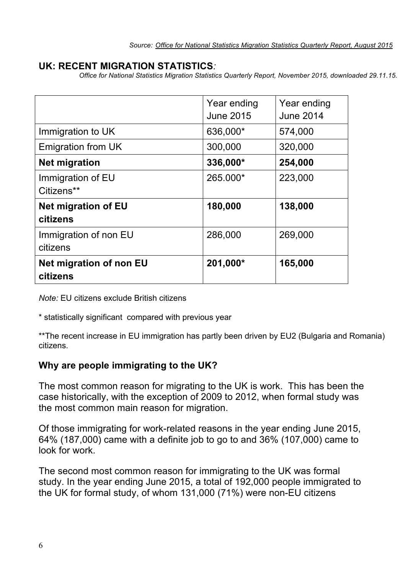#### **UK: RECENT MIGRATION STATISTICS***:*

*Office for National Statistics Migration Statistics Quarterly Report, November 2015, downloaded 29.11.15.*

|                                            | Year ending<br><b>June 2015</b> | Year ending<br><b>June 2014</b> |
|--------------------------------------------|---------------------------------|---------------------------------|
| Immigration to UK                          | 636,000*                        | 574,000                         |
| Emigration from UK                         | 300,000                         | 320,000                         |
| <b>Net migration</b>                       | 336,000*                        | 254,000                         |
| Immigration of EU<br>Citizens**            | 265.000*                        | 223,000                         |
| <b>Net migration of EU</b><br>citizens     | 180,000                         | 138,000                         |
| Immigration of non EU<br>citizens          | 286,000                         | 269,000                         |
| <b>Net migration of non EU</b><br>citizens | 201,000*                        | 165,000                         |

*Note:* EU citizens exclude British citizens

\* statistically significant compared with previous year

\*\*The recent increase in EU immigration has partly been driven by EU2 (Bulgaria and Romania) citizens.

#### **Why are people immigrating to the UK?**

The most common reason for migrating to the UK is work. This has been the case historically, with the exception of 2009 to 2012, when formal study was the most common main reason for migration.

Of those immigrating for work-related reasons in the year ending June 2015, 64% (187,000) came with a definite job to go to and 36% (107,000) came to look for work.

The second most common reason for immigrating to the UK was formal study. In the year ending June 2015, a total of 192,000 people immigrated to the UK for formal study, of whom 131,000 (71%) were non-EU citizens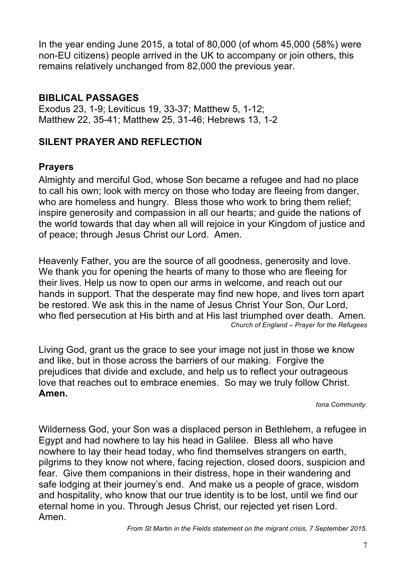In the year ending June 2015, a total of 80,000 (of whom 45,000 (58%) were non-EU citizens) people arrived in the UK to accompany or join others, this remains relatively unchanged from 82,000 the previous year.

#### **BIBLICAL PASSAGES**

Exodus 23, 1-9; Leviticus 19, 33-37; Matthew 5, 1-12; Matthew 22, 35-41; Matthew 25, 31-46; Hebrews 13, 1-2

#### **SILENT PRAYER AND REFLECTION**

#### **Prayers**

Almighty and merciful God, whose Son became a refugee and had no place to call his own; look with mercy on those who today are fleeing from danger, who are homeless and hungry. Bless those who work to bring them relief; inspire generosity and compassion in all our hearts; and guide the nations of the world towards that day when all will rejoice in your Kingdom of justice and of peace; through Jesus Christ our Lord. Amen.

Heavenly Father, you are the source of all goodness, generosity and love. We thank you for opening the hearts of many to those who are fleeing for their lives. Help us now to open our arms in welcome, and reach out our hands in support. That the desperate may find new hope, and lives torn apart be restored. We ask this in the name of Jesus Christ Your Son, Our Lord, who fled persecution at His birth and at His last triumphed over death. Amen. *Church of England – Prayer for the Refugees*

Living God, grant us the grace to see your image not just in those we know and like, but in those across the barriers of our making. Forgive the prejudices that divide and exclude, and help us to reflect your outrageous love that reaches out to embrace enemies. So may we truly follow Christ. **Amen.** 

*Iona Community.*

Wilderness God, your Son was a displaced person in Bethlehem, a refugee in Egypt and had nowhere to lay his head in Galilee. Bless all who have nowhere to lay their head today, who find themselves strangers on earth, pilgrims to they know not where, facing rejection, closed doors, suspicion and fear. Give them companions in their distress, hope in their wandering and safe lodging at their journey's end. And make us a people of grace, wisdom and hospitality, who know that our true identity is to be lost, until we find our eternal home in you. Through Jesus Christ, our rejected yet risen Lord. Amen.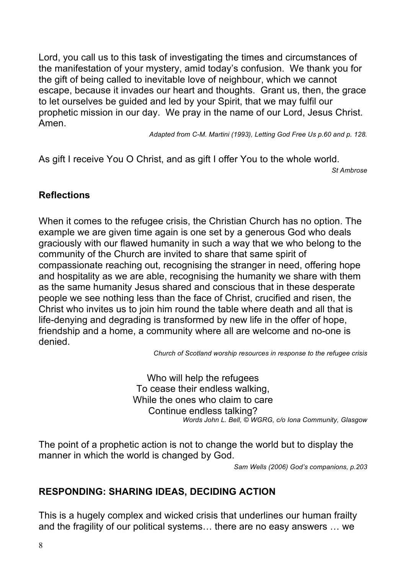Lord, you call us to this task of investigating the times and circumstances of the manifestation of your mystery, amid today's confusion. We thank you for the gift of being called to inevitable love of neighbour, which we cannot escape, because it invades our heart and thoughts. Grant us, then, the grace to let ourselves be guided and led by your Spirit, that we may fulfil our prophetic mission in our day. We pray in the name of our Lord, Jesus Christ. Amen.

*Adapted from C-M. Martini (1993), Letting God Free Us p.60 and p. 128.*

As gift I receive You O Christ, and as gift I offer You to the whole world.

*St Ambrose*

# **Reflections**

When it comes to the refugee crisis, the Christian Church has no option. The example we are given time again is one set by a generous God who deals graciously with our flawed humanity in such a way that we who belong to the community of the Church are invited to share that same spirit of compassionate reaching out, recognising the stranger in need, offering hope and hospitality as we are able, recognising the humanity we share with them as the same humanity Jesus shared and conscious that in these desperate people we see nothing less than the face of Christ, crucified and risen, the Christ who invites us to join him round the table where death and all that is life-denying and degrading is transformed by new life in the offer of hope, friendship and a home, a community where all are welcome and no-one is denied.

*Church of Scotland worship resources in response to the refugee crisis*

Who will help the refugees To cease their endless walking, While the ones who claim to care Continue endless talking? *Words John L. Bell, © WGRG, c/o Iona Community, Glasgow*

The point of a prophetic action is not to change the world but to display the manner in which the world is changed by God.

*Sam Wells (2006) God's companions, p.203*

# **RESPONDING: SHARING IDEAS, DECIDING ACTION**

This is a hugely complex and wicked crisis that underlines our human frailty and the fragility of our political systems… there are no easy answers … we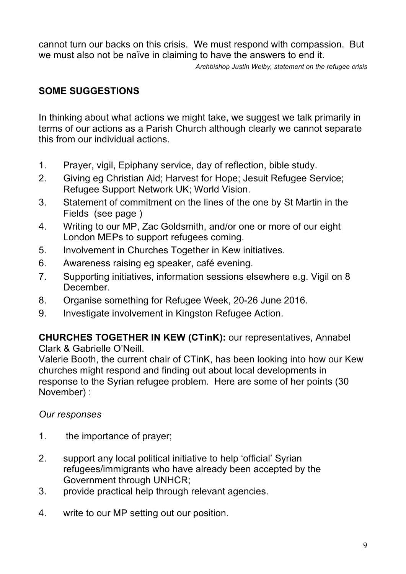cannot turn our backs on this crisis. We must respond with compassion. But we must also not be naïve in claiming to have the answers to end it.

*Archbishop Justin Welby, statement on the refugee crisis* 

# **SOME SUGGESTIONS**

In thinking about what actions we might take, we suggest we talk primarily in terms of our actions as a Parish Church although clearly we cannot separate this from our individual actions.

- 1. Prayer, vigil, Epiphany service, day of reflection, bible study.
- 2. Giving eg Christian Aid; Harvest for Hope; Jesuit Refugee Service; Refugee Support Network UK; World Vision.
- 3. Statement of commitment on the lines of the one by St Martin in the Fields (see page )
- 4. Writing to our MP, Zac Goldsmith, and/or one or more of our eight London MEPs to support refugees coming.
- 5. Involvement in Churches Together in Kew initiatives.
- 6. Awareness raising eg speaker, café evening.
- 7. Supporting initiatives, information sessions elsewhere e.g. Vigil on 8 December.
- 8. Organise something for Refugee Week, 20-26 June 2016.
- 9. Investigate involvement in Kingston Refugee Action.

# **CHURCHES TOGETHER IN KEW (CTinK):** our representatives, Annabel

Clark & Gabrielle O'Neill.

Valerie Booth, the current chair of CTinK, has been looking into how our Kew churches might respond and finding out about local developments in response to the Syrian refugee problem. Here are some of her points (30 November) :

# *Our responses*

- 1. the importance of prayer;
- 2. support any local political initiative to help 'official' Syrian refugees/immigrants who have already been accepted by the Government through UNHCR;
- 3. provide practical help through relevant agencies.
- 4. write to our MP setting out our position.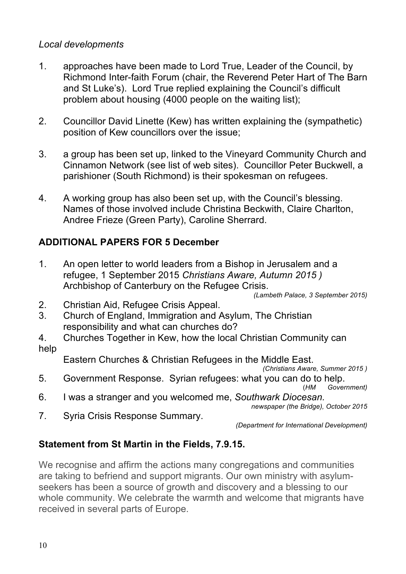#### *Local developments*

- 1. approaches have been made to Lord True, Leader of the Council, by Richmond Inter-faith Forum (chair, the Reverend Peter Hart of The Barn and St Luke's). Lord True replied explaining the Council's difficult problem about housing (4000 people on the waiting list);
- 2. Councillor David Linette (Kew) has written explaining the (sympathetic) position of Kew councillors over the issue;
- 3. a group has been set up, linked to the Vineyard Community Church and Cinnamon Network (see list of web sites). Councillor Peter Buckwell, a parishioner (South Richmond) is their spokesman on refugees.
- 4. A working group has also been set up, with the Council's blessing. Names of those involved include Christina Beckwith, Claire Charlton, Andree Frieze (Green Party), Caroline Sherrard.

# **ADDITIONAL PAPERS FOR 5 December**

1. An open letter to world leaders from a Bishop in Jerusalem and a refugee, 1 September 2015 *Christians Aware, Autumn 2015 )* Archbishop of Canterbury on the Refugee Crisis.

*(Lambeth Palace, 3 September 2015)* 

- 2. Christian Aid, Refugee Crisis Appeal.
- 3. Church of England, Immigration and Asylum, The Christian responsibility and what can churches do?
- 4. Churches Together in Kew, how the local Christian Community can help

Eastern Churches & Christian Refugees in the Middle East.

- *(Christians Aware, Summer 2015 )*
- 5. Government Response. Syrian refugees: what you can do to help. (*HM Government)*
- 6. I was a stranger and you welcomed me, *Southwark Diocesan.*
	- *newspaper (the Bridge), October 2015*
- 7. Syria Crisis Response Summary.

*(Department for International Development)*

# **Statement from St Martin in the Fields, 7.9.15.**

We recognise and affirm the actions many congregations and communities are taking to befriend and support migrants. Our own ministry with asylumseekers has been a source of growth and discovery and a blessing to our whole community. We celebrate the warmth and welcome that migrants have received in several parts of Europe.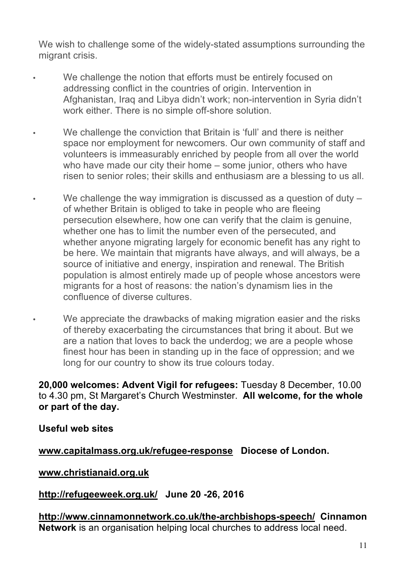We wish to challenge some of the widely-stated assumptions surrounding the migrant crisis.

- We challenge the notion that efforts must be entirely focused on addressing conflict in the countries of origin. Intervention in Afghanistan, Iraq and Libya didn't work; non-intervention in Syria didn't work either. There is no simple off-shore solution.
- We challenge the conviction that Britain is 'full' and there is neither space nor employment for newcomers. Our own community of staff and volunteers is immeasurably enriched by people from all over the world who have made our city their home – some junior, others who have risen to senior roles; their skills and enthusiasm are a blessing to us all.
- We challenge the way immigration is discussed as a question of duty  $$ of whether Britain is obliged to take in people who are fleeing persecution elsewhere, how one can verify that the claim is genuine, whether one has to limit the number even of the persecuted, and whether anyone migrating largely for economic benefit has any right to be here. We maintain that migrants have always, and will always, be a source of initiative and energy, inspiration and renewal. The British population is almost entirely made up of people whose ancestors were migrants for a host of reasons: the nation's dynamism lies in the confluence of diverse cultures.
- We appreciate the drawbacks of making migration easier and the risks of thereby exacerbating the circumstances that bring it about. But we are a nation that loves to back the underdog; we are a people whose finest hour has been in standing up in the face of oppression; and we long for our country to show its true colours today.

**20,000 welcomes: Advent Vigil for refugees:** Tuesday 8 December, 10.00 to 4.30 pm, St Margaret's Church Westminster. **All welcome, for the whole or part of the day.**

**Useful web sites**

**www.capitalmass.org.uk/refugee-response Diocese of London.** 

**www.christianaid.org.uk** 

**http://refugeeweek.org.uk/ June 20 -26, 2016** 

**http://www.cinnamonnetwork.co.uk/the-archbishops-speech/ Cinnamon Network** is an organisation helping local churches to address local need.